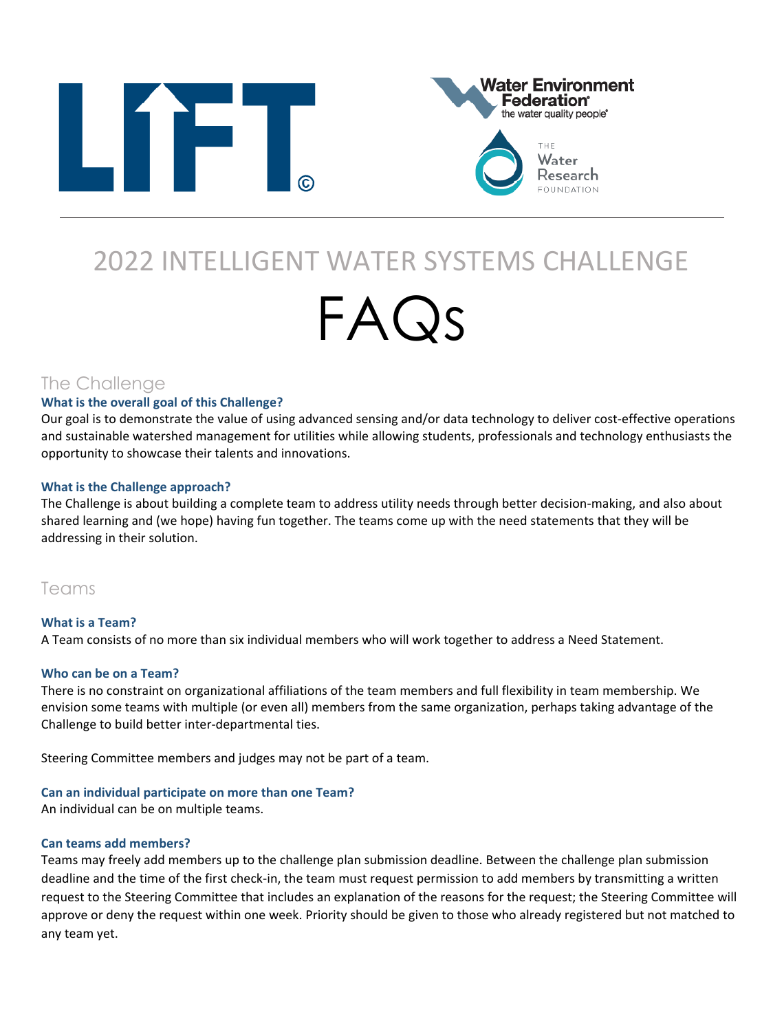



# 2022 INTELLIGENT WATER SYSTEMS CHALLENGE FAQs

# The Challenge

# **What is the overall goal of this Challenge?**

Our goal is to demonstrate the value of using advanced sensing and/or data technology to deliver cost-effective operations and sustainable watershed management for utilities while allowing students, professionals and technology enthusiasts the opportunity to showcase their talents and innovations.

# **What is the Challenge approach?**

The Challenge is about building a complete team to address utility needs through better decision-making, and also about shared learning and (we hope) having fun together. The teams come up with the need statements that they will be addressing in their solution.

# Teams

#### **What is a Team?**  A Team consists of no more than six individual members who will work together to address a Need Statement.

# **Who can be on a Team?**

There is no constraint on organizational affiliations of the team members and full flexibility in team membership. We envision some teams with multiple (or even all) members from the same organization, perhaps taking advantage of the Challenge to build better inter-departmental ties.

Steering Committee members and judges may not be part of a team.

# **Can an individual participate on more than one Team?**

An individual can be on multiple teams.

# **Can teams add members?**

Teams may freely add members up to the challenge plan submission deadline. Between the challenge plan submission deadline and the time of the first check-in, the team must request permission to add members by transmitting a written request to the Steering Committee that includes an explanation of the reasons for the request; the Steering Committee will approve or deny the request within one week. Priority should be given to those who already registered but not matched to any team yet.